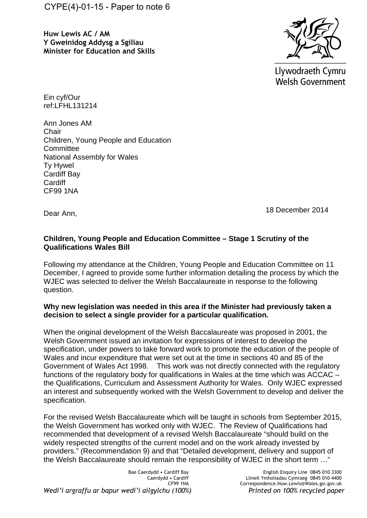**Huw Lewis AC / AM Y Gweinidog Addysg a Sgiliau Minister for Education and Skills**



Llywodraeth Cymru **Welsh Government** 

Ein cyf/Our ref:LFHL131214

Ann Jones AM **Chair** Children, Young People and Education **Committee** National Assembly for Wales Ty Hywel Cardiff Bay **Cardiff** CF99 1NA

Dear Ann,

18 December 2014

## **Children, Young People and Education Committee – Stage 1 Scrutiny of the Qualifications Wales Bill**

Following my attendance at the Children, Young People and Education Committee on 11 December, I agreed to provide some further information detailing the process by which the WJEC was selected to deliver the Welsh Baccalaureate in response to the following question.

## **Why new legislation was needed in this area if the Minister had previously taken a decision to select a single provider for a particular qualification.**

When the original development of the Welsh Baccalaureate was proposed in 2001, the Welsh Government issued an invitation for expressions of interest to develop the specification, under powers to take forward work to promote the education of the people of Wales and incur expenditure that were set out at the time in sections 40 and 85 of the Government of Wales Act 1998. This work was not directly connected with the regulatory functions of the regulatory body for qualifications in Wales at the time which was ACCAC – the Qualifications, Curriculum and Assessment Authority for Wales. Only WJEC expressed an interest and subsequently worked with the Welsh Government to develop and deliver the specification.

For the revised Welsh Baccalaureate which will be taught in schools from September 2015, the Welsh Government has worked only with WJEC. The Review of Qualifications had recommended that development of a revised Welsh Baccalaureate "should build on the widely respected strengths of the current model and on the work already invested by providers." (Recommendation 9) and that "Detailed development, delivery and support of the Welsh Baccalaureate should remain the responsibility of WJEC in the short term …"